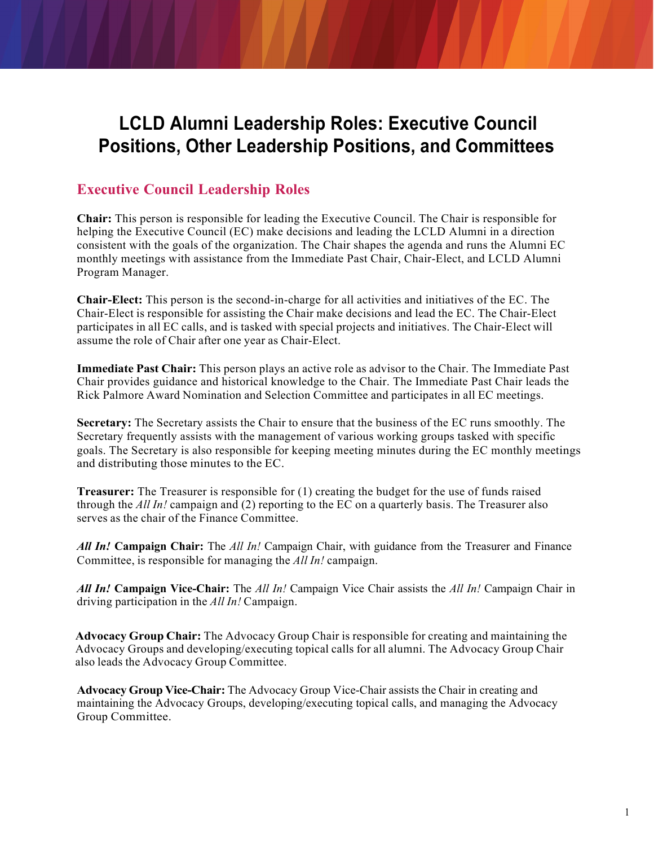# **LCLD Alumni Leadership Roles: Executive Council Positions, Other Leadership Positions, and Committees**

# **Executive Council Leadership Roles**

**Chair:** This person is responsible for leading the Executive Council. The Chair is responsible for helping the Executive Council (EC) make decisions and leading the LCLD Alumni in a direction consistent with the goals of the organization. The Chair shapes the agenda and runs the Alumni EC monthly meetings with assistance from the Immediate Past Chair, Chair-Elect, and LCLD Alumni Program Manager.

**Chair-Elect:** This person is the second-in-charge for all activities and initiatives of the EC. The Chair-Elect is responsible for assisting the Chair make decisions and lead the EC. The Chair-Elect participates in all EC calls, and is tasked with special projects and initiatives. The Chair-Elect will assume the role of Chair after one year as Chair-Elect.

**Immediate Past Chair:** This person plays an active role as advisor to the Chair. The Immediate Past Chair provides guidance and historical knowledge to the Chair. The Immediate Past Chair leads the Rick Palmore Award Nomination and Selection Committee and participates in all EC meetings.

**Secretary:** The Secretary assists the Chair to ensure that the business of the EC runs smoothly. The Secretary frequently assists with the management of various working groups tasked with specific goals. The Secretary is also responsible for keeping meeting minutes during the EC monthly meetings and distributing those minutes to the EC.

**Treasurer:** The Treasurer is responsible for (1) creating the budget for the use of funds raised through the *All In!* campaign and (2) reporting to the EC on a quarterly basis. The Treasurer also serves as the chair of the Finance Committee.

*All In!* **Campaign Chair:** The *All In!* Campaign Chair, with guidance from the Treasurer and Finance Committee, is responsible for managing the *All In!* campaign.

*All In!* **Campaign Vice-Chair:** The *All In!* Campaign Vice Chair assists the *All In!* Campaign Chair in driving participation in the *All In!* Campaign.

**Advocacy Group Chair:** The Advocacy Group Chair is responsible for creating and maintaining the Advocacy Groups and developing/executing topical calls for all alumni. The Advocacy Group Chair also leads the Advocacy Group Committee.

**Advocacy Group Vice-Chair:** The Advocacy Group Vice-Chair assists the Chair in creating and maintaining the Advocacy Groups, developing/executing topical calls, and managing the Advocacy Group Committee.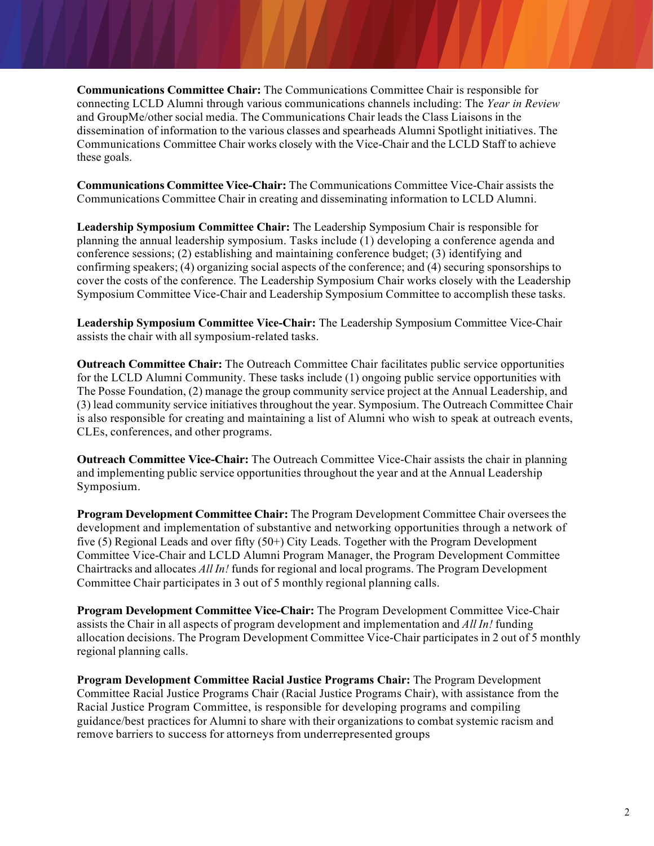**Communications Committee Chair:** The Communications Committee Chair is responsible for connecting LCLD Alumni through various communications channels including: The *Year in Review*  and GroupMe/other social media. The Communications Chair leads the Class Liaisons in the dissemination of information to the various classes and spearheads Alumni Spotlight initiatives. The Communications Committee Chair works closely with the Vice-Chair and the LCLD Staff to achieve these goals.

**Communications Committee Vice-Chair:** The Communications Committee Vice-Chair assists the Communications Committee Chair in creating and disseminating information to LCLD Alumni.

**Leadership Symposium Committee Chair:** The Leadership Symposium Chair is responsible for planning the annual leadership symposium. Tasks include (1) developing a conference agenda and conference sessions; (2) establishing and maintaining conference budget; (3) identifying and confirming speakers; (4) organizing social aspects of the conference; and (4) securing sponsorships to cover the costs of the conference. The Leadership Symposium Chair works closely with the Leadership Symposium Committee Vice-Chair and Leadership Symposium Committee to accomplish these tasks.

**Leadership Symposium Committee Vice-Chair:** The Leadership Symposium Committee Vice-Chair assists the chair with all symposium-related tasks.

**Outreach Committee Chair:** The Outreach Committee Chair facilitates public service opportunities for the LCLD Alumni Community. These tasks include (1) ongoing public service opportunities with The Posse Foundation, (2) manage the group community service project at the Annual Leadership, and (3) lead community service initiatives throughout the year. Symposium. The Outreach Committee Chair is also responsible for creating and maintaining a list of Alumni who wish to speak at outreach events, CLEs, conferences, and other programs.

**Outreach Committee Vice-Chair:** The Outreach Committee Vice-Chair assists the chair in planning and implementing public service opportunities throughout the year and at the Annual Leadership Symposium.

**Program Development Committee Chair:** The Program Development Committee Chair oversees the development and implementation of substantive and networking opportunities through a network of five (5) Regional Leads and over fifty (50+) City Leads. Together with the Program Development Committee Vice-Chair and LCLD Alumni Program Manager, the Program Development Committee Chairtracks and allocates *All In!* funds for regional and local programs. The Program Development Committee Chair participates in 3 out of 5 monthly regional planning calls.

**Program Development Committee Vice-Chair:** The Program Development Committee Vice-Chair assists the Chair in all aspects of program development and implementation and *All In!* funding allocation decisions. The Program Development Committee Vice-Chair participates in 2 out of 5 monthly regional planning calls.

**Program Development Committee Racial Justice Programs Chair:** The Program Development Committee Racial Justice Programs Chair (Racial Justice Programs Chair), with assistance from the Racial Justice Program Committee, is responsible for developing programs and compiling guidance/best practices for Alumni to share with their organizations to combat systemic racism and remove barriers to success for attorneys from underrepresented groups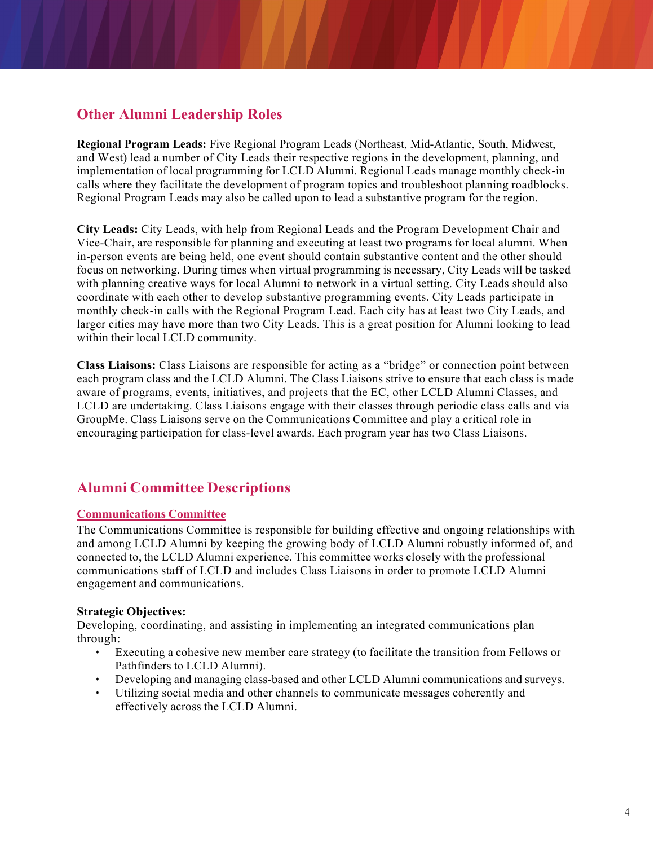# **Other Alumni Leadership Roles**

**Regional Program Leads:** Five Regional Program Leads (Northeast, Mid-Atlantic, South, Midwest, and West) lead a number of City Leads their respective regions in the development, planning, and implementation of local programming for LCLD Alumni. Regional Leads manage monthly check-in calls where they facilitate the development of program topics and troubleshoot planning roadblocks. Regional Program Leads may also be called upon to lead a substantive program for the region.

**City Leads:** City Leads, with help from Regional Leads and the Program Development Chair and Vice-Chair, are responsible for planning and executing at least two programs for local alumni. When in-person events are being held, one event should contain substantive content and the other should focus on networking. During times when virtual programming is necessary, City Leads will be tasked with planning creative ways for local Alumni to network in a virtual setting. City Leads should also coordinate with each other to develop substantive programming events. City Leads participate in monthly check-in calls with the Regional Program Lead. Each city has at least two City Leads, and larger cities may have more than two City Leads. This is a great position for Alumni looking to lead within their local LCLD community.

**Class Liaisons:** Class Liaisons are responsible for acting as a "bridge" or connection point between each program class and the LCLD Alumni. The Class Liaisons strive to ensure that each class is made aware of programs, events, initiatives, and projects that the EC, other LCLD Alumni Classes, and LCLD are undertaking. Class Liaisons engage with their classes through periodic class calls and via GroupMe. Class Liaisons serve on the Communications Committee and play a critical role in encouraging participation for class-level awards. Each program year has two Class Liaisons.

# **Alumni Committee Descriptions**

# **Communications Committee**

The Communications Committee is responsible for building effective and ongoing relationships with and among LCLD Alumni by keeping the growing body of LCLD Alumni robustly informed of, and connected to, the LCLD Alumni experience. This committee works closely with the professional communications staff of LCLD and includes Class Liaisons in order to promote LCLD Alumni engagement and communications.

# **Strategic Objectives:**

Developing, coordinating, and assisting in implementing an integrated communications plan through:

- Executing a cohesive new member care strategy (to facilitate the transition from Fellows or Pathfinders to LCLD Alumni).
- Developing and managing class-based and other LCLD Alumni communications and surveys.
- Utilizing social media and other channels to communicate messages coherently and effectively across the LCLD Alumni.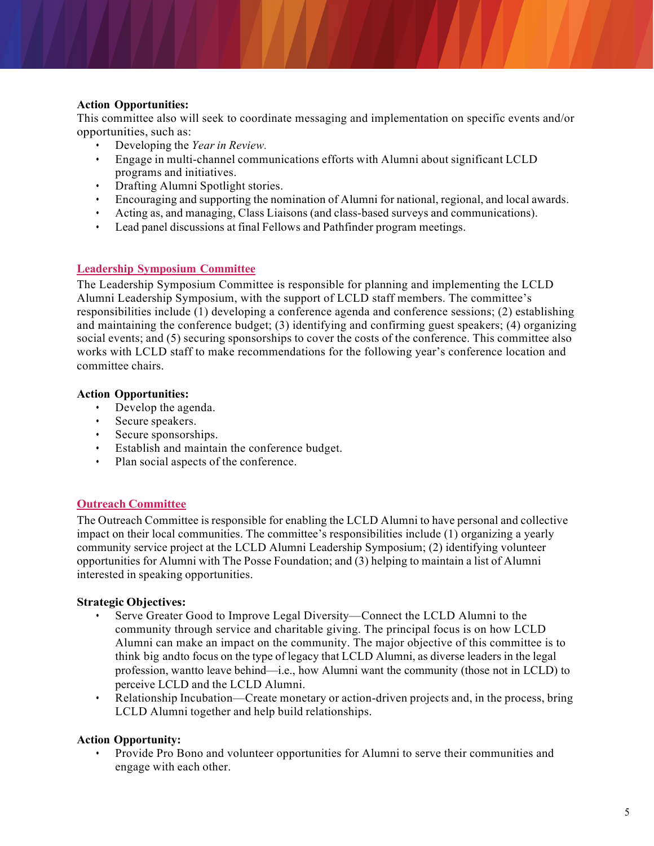#### **Action Opportunities:**

This committee also will seek to coordinate messaging and implementation on specific events and/or opportunities, such as:

- Developing the *Year in Review.*
- Engage in multi-channel communications efforts with Alumni about significant LCLD programs and initiatives.
- Drafting Alumni Spotlight stories.
- Encouraging and supporting the nomination of Alumni for national, regional, and local awards.
- Acting as, and managing, Class Liaisons (and class-based surveys and communications).
- Lead panel discussions at final Fellows and Pathfinder program meetings.

#### **Leadership Symposium Committee**

The Leadership Symposium Committee is responsible for planning and implementing the LCLD Alumni Leadership Symposium, with the support of LCLD staff members. The committee's responsibilities include (1) developing a conference agenda and conference sessions; (2) establishing and maintaining the conference budget; (3) identifying and confirming guest speakers; (4) organizing social events; and (5) securing sponsorships to cover the costs of the conference. This committee also works with LCLD staff to make recommendations for the following year's conference location and committee chairs.

#### **Action Opportunities:**

- Develop the agenda.
- Secure speakers.
- Secure sponsorships.
- Establish and maintain the conference budget.
- Plan social aspects of the conference.

# **Outreach Committee**

The Outreach Committee is responsible for enabling the LCLD Alumni to have personal and collective impact on their local communities. The committee's responsibilities include (1) organizing a yearly community service project at the LCLD Alumni Leadership Symposium; (2) identifying volunteer opportunities for Alumni with The Posse Foundation; and (3) helping to maintain a list of Alumni interested in speaking opportunities.

#### **Strategic Objectives:**

- Serve Greater Good to Improve Legal Diversity—Connect the LCLD Alumni to the community through service and charitable giving. The principal focus is on how LCLD Alumni can make an impact on the community. The major objective of this committee is to think big andto focus on the type of legacy that LCLD Alumni, as diverse leaders in the legal profession, wantto leave behind—i.e., how Alumni want the community (those not in LCLD) to perceive LCLD and the LCLD Alumni.
- Relationship Incubation—Create monetary or action-driven projects and, in the process, bring LCLD Alumni together and help build relationships.

# **Action Opportunity:**

• Provide Pro Bono and volunteer opportunities for Alumni to serve their communities and engage with each other.